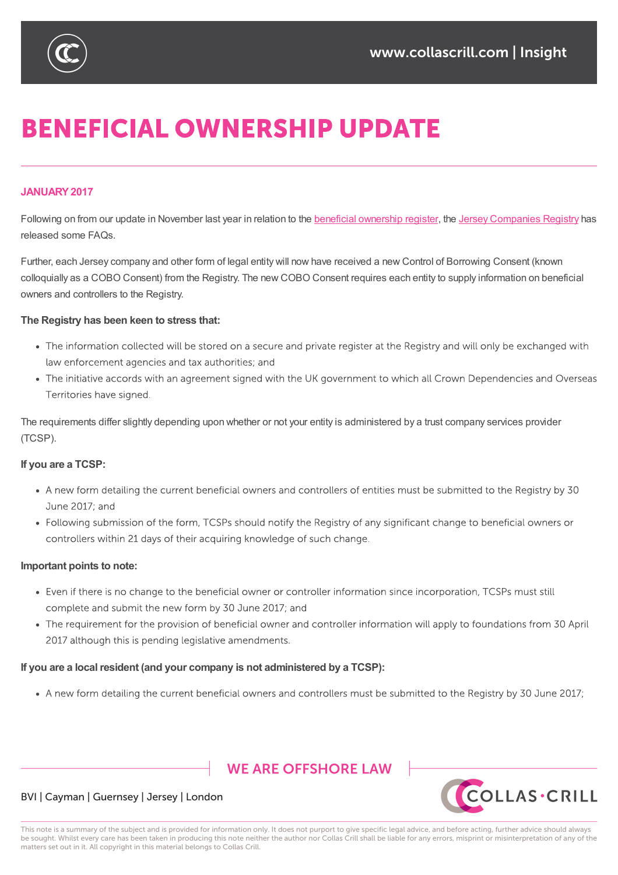

# **BENEFICIAL OWNERSHIP UPDATE**

#### **JANUARY2017**

Following on from our update in November last year in relation to the beneficial ownership register, the Jersey Companies Registry has released some FAQs.

Further, each Jersey company and other form of legal entity will now have received a new Control of Borrowing Consent (known colloquially as a COBO Consent) from the Registry. The new COBO Consent [requires](https://sites-collascrill.vuturevx.com/email_handler.aspx?sid=blankform&redirect=http%3a%2f%2fwww.collascrill.com%2fnews%2fupdates%2fbeneficial-ownership-and-other-registers-jersey-declares-its-hand%2f) each entity to supply [information](https://sites-collascrill.vuturevx.com/email_handler.aspx?sid=blankform&redirect=http%3a%2f%2fwww.jerseyfsc.org%2fregistry%2f) on beneficial owners and controllers to the Registry.

#### **The Registry has been keen to stress that:**

- The information collected will be stored on a secure and private register at the Registry and will only be exchanged with law enforcement agencies and tax authorities; and
- The initiative accords with an agreement signed with the UK government to which all Crown Dependencies and Overseas Territories have signed.

The requirements differ slightly depending upon whether or not your entity is administered by a trust company services provider (TCSP).

#### **If you are a TCSP:**

- A new form detailing the current beneficial owners and controllers of entities must be submitted to the Registry by 30 June 2017: and
- Following submission of the form, TCSPs should notify the Registry of any significant change to beneficial owners or controllers within 21 days of their acquiring knowledge of such change.

#### **Important points to note:**

- Even if there is no change to the beneficial owner or controller information since incorporation, TCSPs must still complete and submit the new form by 30 June 2017; and
- The requirement for the provision of beneficial owner and controller information will apply to foundations from 30 April 2017 although this is pending legislative amendments.

#### **If you are a local resident (and your company is not administered by a TCSP):**

• A new form detailing the current beneficial owners and controllers must be submitted to the Registry by 30 June 2017;

## **WE ARE OFFSHORE LAW**





This note is a summary of the subject and is provided for information only. It does not purport to give specific legal advice, and before acting, further advice should always be sought. Whilst every care has been taken in producing this note neither the author nor Collas Crill shall be liable for any errors, misprint or misinterpretation of any of the matters set out in it. All copyright in this material belongs to Collas Crill.